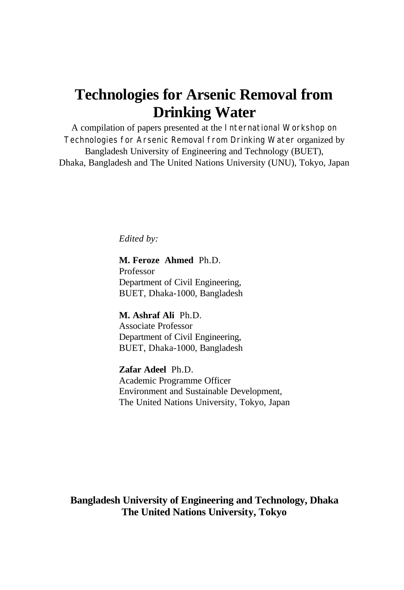## **Technologies for Arsenic Removal from Drinking Water**

A compilation of papers presented at the International Workshop on Technologies for Arsenic Removal from Drinking Water organized by Bangladesh University of Engineering and Technology (BUET), Dhaka, Bangladesh and The United Nations University (UNU), Tokyo, Japan

*Edited by:*

**M. Feroze Ahmed** Ph.D. Professor Department of Civil Engineering, BUET, Dhaka-1000, Bangladesh

**M. Ashraf Ali** Ph.D. Associate Professor Department of Civil Engineering, BUET, Dhaka-1000, Bangladesh

**Zafar Adeel** Ph.D. Academic Programme Officer Environment and Sustainable Development, The United Nations University, Tokyo, Japan

**Bangladesh University of Engineering and Technology, Dhaka The United Nations University, Tokyo**